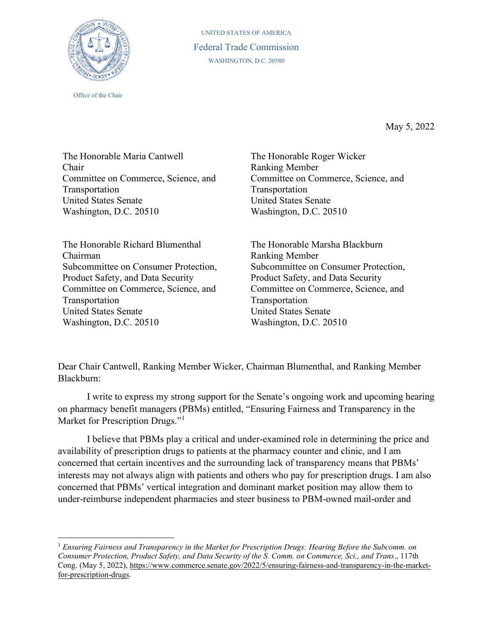

Office of the Chair

UNITED STATES OF AMERICA Federal Trade Commission WASHINGTON, D.C. 20580

May 5, 2022

The Honorable Maria Cantwell Chair Committee on Commerce, Science, and Transportation United States Senate Washington, D.C. 20510

The Honorable Richard Blumenthal Chairman Subcommittee on Consumer Protection, Product Safety, and Data Security Committee on Commerce, Science, and Transportation United States Senate Washington, D.C. 20510

The Honorable Roger Wicker Ranking Member Committee on Commerce, Science, and Transportation United States Senate Washington, D.C. 20510

The Honorable Marsha Blackburn Ranking Member Subcommittee on Consumer Protection, Product Safety, and Data Security Committee on Commerce, Science, and Transportation United States Senate Washington, D.C. 20510

Dear Chair Cantwell, Ranking Member Wicker, Chairman Blumenthal, and Ranking Member Blackburn:

 I write to express my strong support for the Senate's ongoing work and upcoming hearing on pharmacy benefit managers (PBMs) entitled, "Ensuring Fairness and Transparency in the Market for Prescription Drugs."<sup>[1](#page-0-0)</sup>

I believe that PBMs play a critical and under-examined role in determining the price and availability of prescription drugs to patients at the pharmacy counter and clinic, and I am concerned that certain incentives and the surrounding lack of transparency means that PBMs' interests may not always align with patients and others who pay for prescription drugs. I am also concerned that PBMs' vertical integration and dominant market position may allow them to under-reimburse independent pharmacies and steer business to PBM-owned mail-order and

<span id="page-0-0"></span><sup>1</sup> *Ensuring Fairness and Transparency in the Market for Prescription Drugs: Hearing Before the Subcomm. on Consumer Protection, Product Safety, and Data Security of the S. Comm. on Commerce, Sci., and Trans*., 117th Cong. (May 5, 2022), [https://www.commerce.senate.gov/2022/5/ensuring-fairness-and-transparency-in-the-market](https://www.commerce.senate.gov/2022/5/ensuring-fairness-and-transparency-in-the-market-for-prescription-drugs)[for-prescription-drugs.](https://www.commerce.senate.gov/2022/5/ensuring-fairness-and-transparency-in-the-market-for-prescription-drugs)